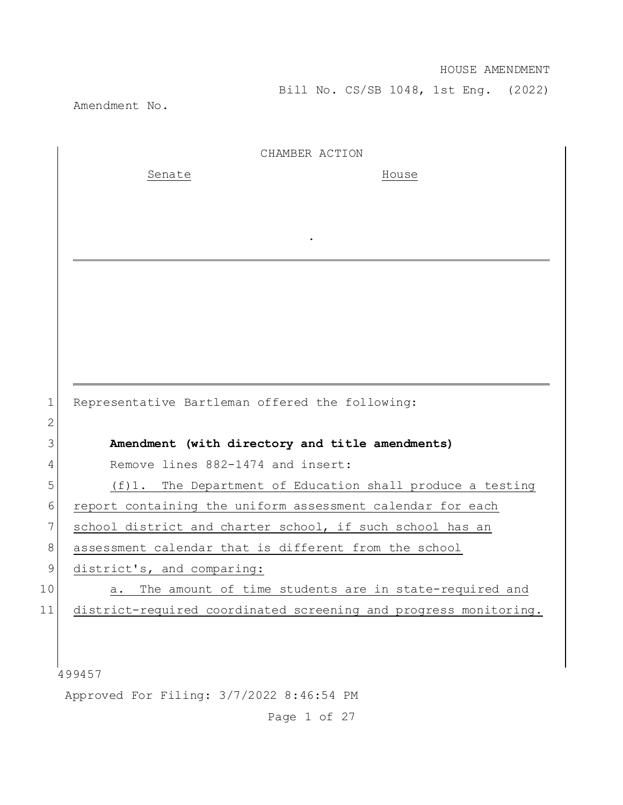Bill No. CS/SB 1048, 1st Eng. (2022)

Amendment No.

|             | CHAMBER ACTION                                                   |
|-------------|------------------------------------------------------------------|
|             | Senate<br>House                                                  |
|             |                                                                  |
|             |                                                                  |
|             |                                                                  |
|             |                                                                  |
|             |                                                                  |
|             |                                                                  |
|             |                                                                  |
|             |                                                                  |
|             |                                                                  |
| 1           | Representative Bartleman offered the following:                  |
| 2           |                                                                  |
| 3           | Amendment (with directory and title amendments)                  |
| 4           | Remove lines 882-1474 and insert:                                |
| 5           | (f)1. The Department of Education shall produce a testing        |
| 6           | report containing the uniform assessment calendar for each       |
| 7           | school district and charter school, if such school has an        |
| 8           | assessment calendar that is different from the school            |
| $\mathsf 9$ | district's, and comparing:                                       |
| 10          | The amount of time students are in state-required and<br>а.      |
| 11          | district-required coordinated screening and progress monitoring. |
|             |                                                                  |
|             |                                                                  |
|             | 499457                                                           |
|             | Approved For Filing: 3/7/2022 8:46:54 PM                         |

Page 1 of 27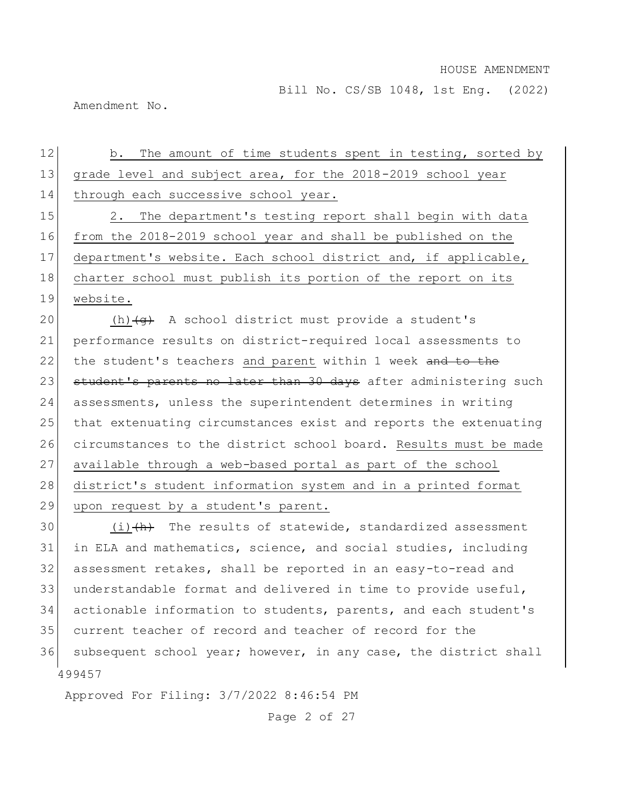Bill No. CS/SB 1048, 1st Eng. (2022)

Amendment No.

| 12 | The amount of time students spent in testing, sorted by<br>b.        |
|----|----------------------------------------------------------------------|
| 13 | grade level and subject area, for the 2018-2019 school year          |
| 14 | through each successive school year.                                 |
| 15 | The department's testing report shall begin with data<br>$2$ .       |
| 16 | from the 2018-2019 school year and shall be published on the         |
| 17 | department's website. Each school district and, if applicable,       |
| 18 | charter school must publish its portion of the report on its         |
| 19 | website.                                                             |
| 20 | (h) $\left(\theta\right)$ A school district must provide a student's |
| 21 | performance results on district-required local assessments to        |
| 22 | the student's teachers and parent within 1 week and to the           |
| 23 | student's parents no later than 30 days after administering such     |
| 24 | assessments, unless the superintendent determines in writing         |
| 25 | that extenuating circumstances exist and reports the extenuating     |
| 26 | circumstances to the district school board. Results must be made     |
| 27 | available through a web-based portal as part of the school           |
| 28 | district's student information system and in a printed format        |
| 29 | upon request by a student's parent.                                  |
| 30 | $(i)$ $(h)$ The results of statewide, standardized assessment        |
| 31 | in ELA and mathematics, science, and social studies, including       |
| 32 | assessment retakes, shall be reported in an easy-to-read and         |
| 33 | understandable format and delivered in time to provide useful,       |
| 34 | actionable information to students, parents, and each student's      |

 current teacher of record and teacher of record for the 36 subsequent school year; however, in any case, the district shall

Approved For Filing: 3/7/2022 8:46:54 PM

Page 2 of 27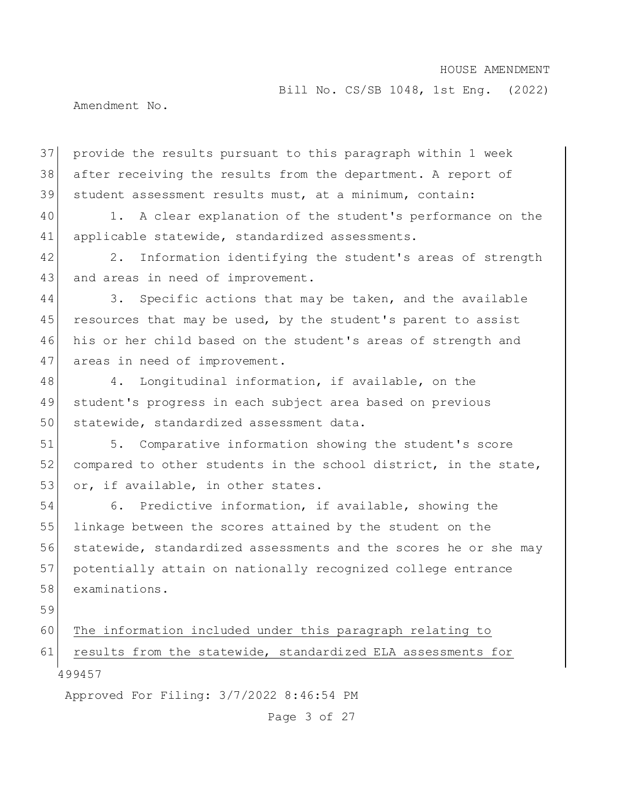Bill No. CS/SB 1048, 1st Eng. (2022)

Amendment No.

37 provide the results pursuant to this paragraph within 1 week 38 after receiving the results from the department. A report of 39 student assessment results must, at a minimum, contain:

40 1. A clear explanation of the student's performance on the 41 applicable statewide, standardized assessments.

42 2. Information identifying the student's areas of strength 43 and areas in need of improvement.

44 3. Specific actions that may be taken, and the available 45 resources that may be used, by the student's parent to assist 46 his or her child based on the student's areas of strength and 47 areas in need of improvement.

48 4. Longitudinal information, if available, on the 49 student's progress in each subject area based on previous 50 statewide, standardized assessment data.

51 5. Comparative information showing the student's score 52 compared to other students in the school district, in the state, 53 or, if available, in other states.

54 6. Predictive information, if available, showing the 55 linkage between the scores attained by the student on the 56 statewide, standardized assessments and the scores he or she may 57 potentially attain on nationally recognized college entrance 58 examinations.

59

499457 60 The information included under this paragraph relating to 61 results from the statewide, standardized ELA assessments for

Approved For Filing: 3/7/2022 8:46:54 PM

Page 3 of 27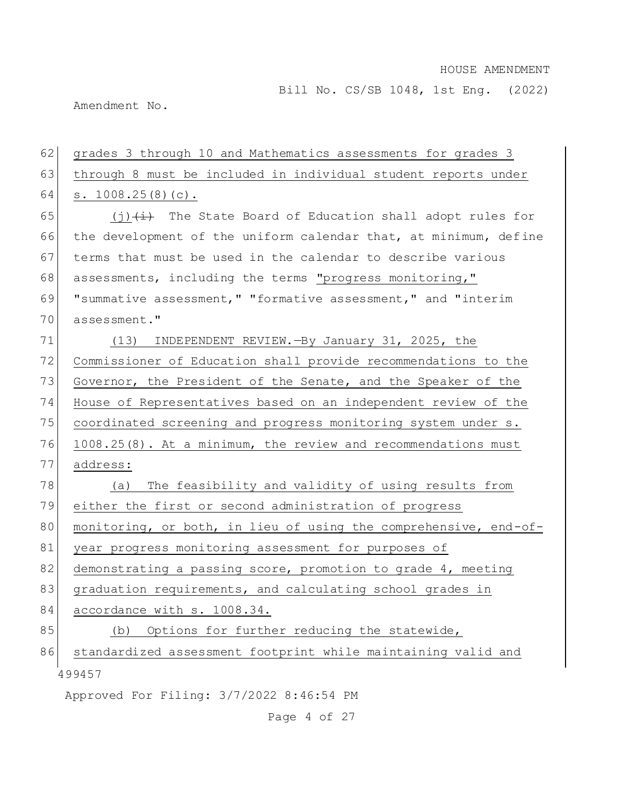Bill No. CS/SB 1048, 1st Eng. (2022)

Amendment No.

# 62 grades 3 through 10 and Mathematics assessments for grades 3 63 through 8 must be included in individual student reports under 64 s. 1008.25(8)(c). 65 (j) $(i)$  The State Board of Education shall adopt rules for

66 the development of the uniform calendar that, at minimum, define 67 terms that must be used in the calendar to describe various 68 assessments, including the terms "progress monitoring," 69 "summative assessment," "formative assessment," and "interim 70 assessment."

71 (13) INDEPENDENT REVIEW.—By January 31, 2025, the 72 Commissioner of Education shall provide recommendations to the 73 Governor, the President of the Senate, and the Speaker of the 74 House of Representatives based on an independent review of the 75 coordinated screening and progress monitoring system under s. 76 1008.25(8). At a minimum, the review and recommendations must 77 address: 78 (a) The feasibility and validity of using results from

79 either the first or second administration of progress 80 monitoring, or both, in lieu of using the comprehensive, end-of-

81 year progress monitoring assessment for purposes of

82 demonstrating a passing score, promotion to grade 4, meeting

83 graduation requirements, and calculating school grades in

84 accordance with s. 1008.34.

85 (b) Options for further reducing the statewide,

499457 86 standardized assessment footprint while maintaining valid and

Approved For Filing: 3/7/2022 8:46:54 PM

Page 4 of 27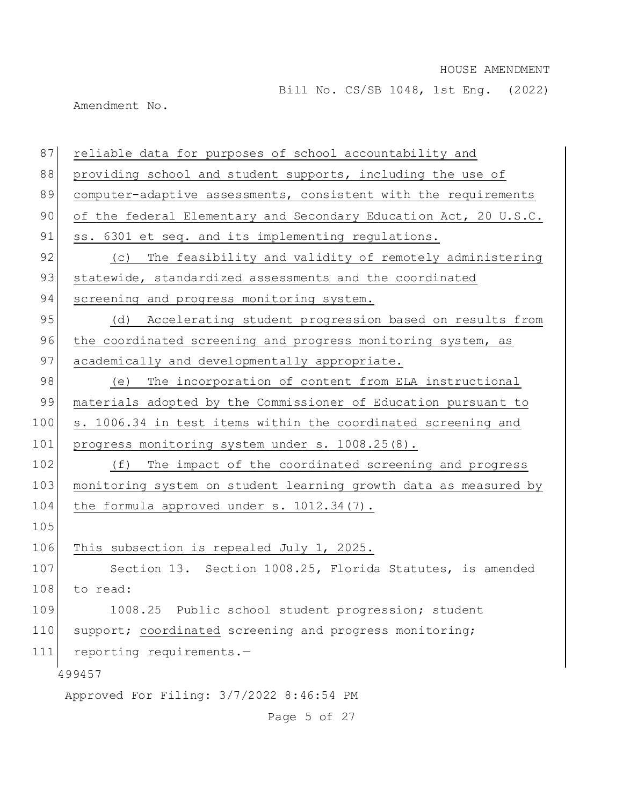Bill No. CS/SB 1048, 1st Eng. (2022)

Amendment No.

499457 Approved For Filing: 3/7/2022 8:46:54 PM 87 reliable data for purposes of school accountability and 88 providing school and student supports, including the use of 89 computer-adaptive assessments, consistent with the requirements 90 of the federal Elementary and Secondary Education Act, 20 U.S.C. 91 ss. 6301 et seq. and its implementing regulations. 92 (c) The feasibility and validity of remotely administering 93 statewide, standardized assessments and the coordinated 94 screening and progress monitoring system. 95 (d) Accelerating student progression based on results from 96 the coordinated screening and progress monitoring system, as 97 academically and developmentally appropriate. 98 (e) The incorporation of content from ELA instructional 99 materials adopted by the Commissioner of Education pursuant to 100 s. 1006.34 in test items within the coordinated screening and 101 progress monitoring system under s. 1008.25(8). 102 (f) The impact of the coordinated screening and progress 103 monitoring system on student learning growth data as measured by 104 the formula approved under s. 1012.34(7). 105 106 This subsection is repealed July 1, 2025. 107 Section 13. Section 1008.25, Florida Statutes, is amended 108 to read: 109 1008.25 Public school student progression; student 110 support; coordinated screening and progress monitoring; 111 reporting requirements.—

Page 5 of 27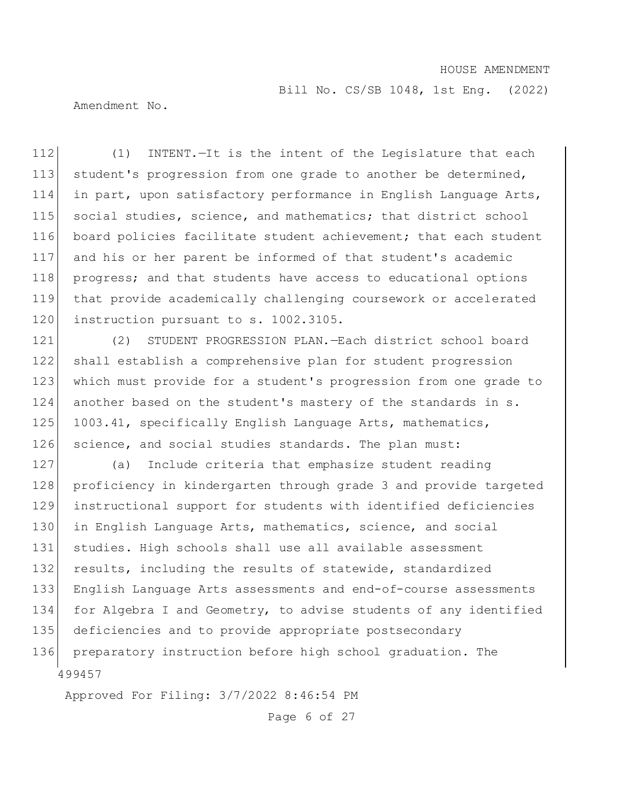Bill No. CS/SB 1048, 1st Eng. (2022)

Amendment No.

 (1) INTENT.—It is the intent of the Legislature that each 113 student's progression from one grade to another be determined, in part, upon satisfactory performance in English Language Arts, 115 social studies, science, and mathematics; that district school board policies facilitate student achievement; that each student and his or her parent be informed of that student's academic progress; and that students have access to educational options that provide academically challenging coursework or accelerated 120 instruction pursuant to s. 1002.3105.

121 (2) STUDENT PROGRESSION PLAN.—Each district school board 122 shall establish a comprehensive plan for student progression 123 which must provide for a student's progression from one grade to 124 another based on the student's mastery of the standards in s. 125 1003.41, specifically English Language Arts, mathematics, 126 science, and social studies standards. The plan must:

499457 (a) Include criteria that emphasize student reading 128 proficiency in kindergarten through grade 3 and provide targeted instructional support for students with identified deficiencies in English Language Arts, mathematics, science, and social studies. High schools shall use all available assessment 132 results, including the results of statewide, standardized English Language Arts assessments and end-of-course assessments 134 for Algebra I and Geometry, to advise students of any identified deficiencies and to provide appropriate postsecondary preparatory instruction before high school graduation. The

Approved For Filing: 3/7/2022 8:46:54 PM

Page 6 of 27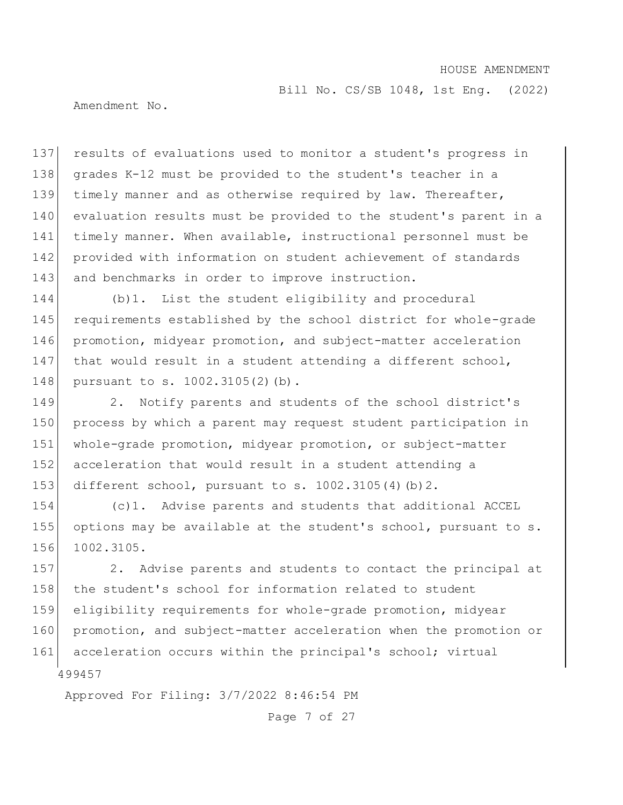Bill No. CS/SB 1048, 1st Eng. (2022)

Amendment No.

 results of evaluations used to monitor a student's progress in grades K-12 must be provided to the student's teacher in a timely manner and as otherwise required by law. Thereafter, evaluation results must be provided to the student's parent in a 141 timely manner. When available, instructional personnel must be provided with information on student achievement of standards 143 and benchmarks in order to improve instruction.

144 (b)1. List the student eligibility and procedural 145 requirements established by the school district for whole-grade 146 promotion, midyear promotion, and subject-matter acceleration 147 that would result in a student attending a different school, 148 pursuant to s. 1002.3105(2)(b).

149 2. Notify parents and students of the school district's 150 process by which a parent may request student participation in 151 whole-grade promotion, midyear promotion, or subject-matter 152 acceleration that would result in a student attending a 153 different school, pursuant to s. 1002.3105(4)(b)2.

154 (c)1. Advise parents and students that additional ACCEL 155 options may be available at the student's school, pursuant to s. 156 1002.3105.

499457 157 2. Advise parents and students to contact the principal at 158 the student's school for information related to student 159 eligibility requirements for whole-grade promotion, midyear 160 promotion, and subject-matter acceleration when the promotion or 161 acceleration occurs within the principal's school; virtual

Approved For Filing: 3/7/2022 8:46:54 PM

Page 7 of 27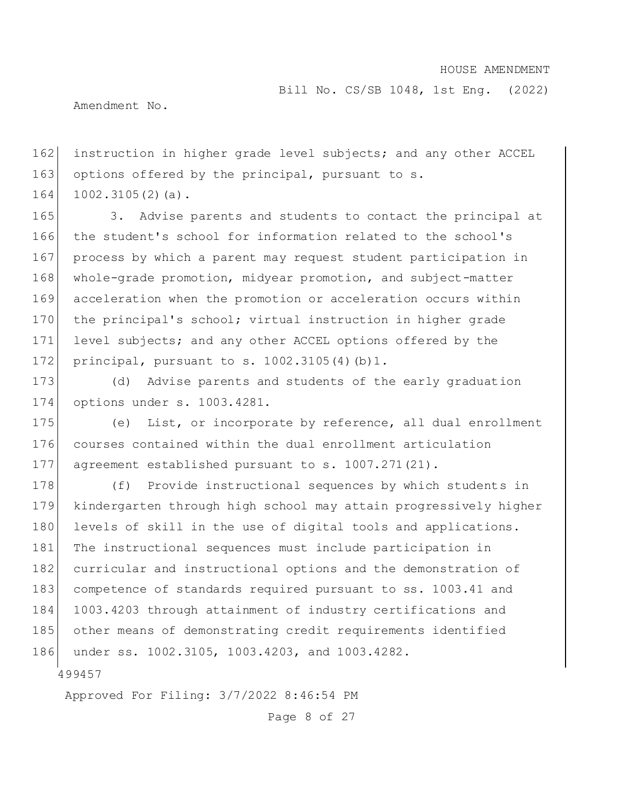Bill No. CS/SB 1048, 1st Eng. (2022)

Amendment No.

162 instruction in higher grade level subjects; and any other ACCEL 163 options offered by the principal, pursuant to s. 164 1002.3105(2)(a).

165 3. Advise parents and students to contact the principal at 166 the student's school for information related to the school's 167 process by which a parent may request student participation in 168 whole-grade promotion, midyear promotion, and subject-matter 169 acceleration when the promotion or acceleration occurs within 170 the principal's school; virtual instruction in higher grade 171 level subjects; and any other ACCEL options offered by the 172 principal, pursuant to s. 1002.3105(4)(b)1.

173 (d) Advise parents and students of the early graduation 174 options under s. 1003.4281.

175 (e) List, or incorporate by reference, all dual enrollment 176 courses contained within the dual enrollment articulation 177 agreement established pursuant to s. 1007.271(21).

178 (f) Provide instructional sequences by which students in 179 kindergarten through high school may attain progressively higher 180 levels of skill in the use of digital tools and applications. 181 The instructional sequences must include participation in 182 curricular and instructional options and the demonstration of 183 competence of standards required pursuant to ss. 1003.41 and 184 1003.4203 through attainment of industry certifications and 185 other means of demonstrating credit requirements identified 186 under ss. 1002.3105, 1003.4203, and 1003.4282.

499457

Approved For Filing: 3/7/2022 8:46:54 PM

Page 8 of 27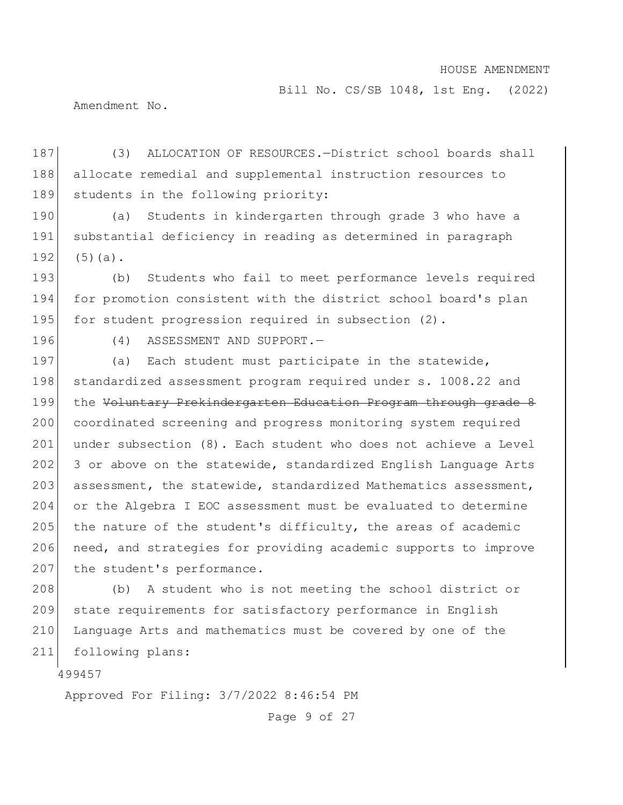Bill No. CS/SB 1048, 1st Eng. (2022)

Amendment No.

187 (3) ALLOCATION OF RESOURCES.—District school boards shall 188 allocate remedial and supplemental instruction resources to 189 students in the following priority:

190 (a) Students in kindergarten through grade 3 who have a 191 substantial deficiency in reading as determined in paragraph  $192$  (5)(a).

193 (b) Students who fail to meet performance levels required 194 for promotion consistent with the district school board's plan 195 for student progression required in subsection (2).

196 (4) ASSESSMENT AND SUPPORT.—

197 (a) Each student must participate in the statewide, 198 standardized assessment program required under s. 1008.22 and 199 the Voluntary Prekindergarten Education Program through grade 8 200 coordinated screening and progress monitoring system required 201 under subsection (8). Each student who does not achieve a Level 202 3 or above on the statewide, standardized English Language Arts 203 assessment, the statewide, standardized Mathematics assessment, 204 or the Algebra I EOC assessment must be evaluated to determine 205 the nature of the student's difficulty, the areas of academic 206 need, and strategies for providing academic supports to improve 207 the student's performance.

 (b) A student who is not meeting the school district or 209 state requirements for satisfactory performance in English Language Arts and mathematics must be covered by one of the following plans:

499457

Approved For Filing: 3/7/2022 8:46:54 PM

Page 9 of 27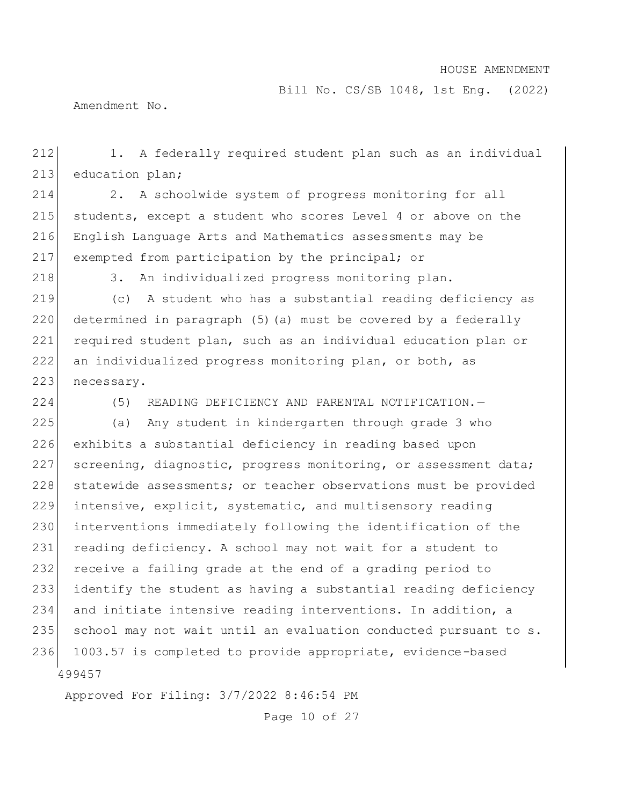Bill No. CS/SB 1048, 1st Eng. (2022)

Amendment No.

212 1. A federally required student plan such as an individual 213 education plan;

 2. A schoolwide system of progress monitoring for all students, except a student who scores Level 4 or above on the English Language Arts and Mathematics assessments may be exempted from participation by the principal; or

218 3. An individualized progress monitoring plan.

 (c) A student who has a substantial reading deficiency as determined in paragraph (5)(a) must be covered by a federally required student plan, such as an individual education plan or an individualized progress monitoring plan, or both, as 223 necessary.

224 (5) READING DEFICIENCY AND PARENTAL NOTIFICATION.—

499457 225 (a) Any student in kindergarten through grade 3 who 226 exhibits a substantial deficiency in reading based upon 227 screening, diagnostic, progress monitoring, or assessment data; 228 statewide assessments; or teacher observations must be provided 229 intensive, explicit, systematic, and multisensory reading 230 interventions immediately following the identification of the 231 reading deficiency. A school may not wait for a student to 232 receive a failing grade at the end of a grading period to 233 identify the student as having a substantial reading deficiency 234 and initiate intensive reading interventions. In addition, a 235 school may not wait until an evaluation conducted pursuant to s. 236 1003.57 is completed to provide appropriate, evidence-based

Approved For Filing: 3/7/2022 8:46:54 PM

Page 10 of 27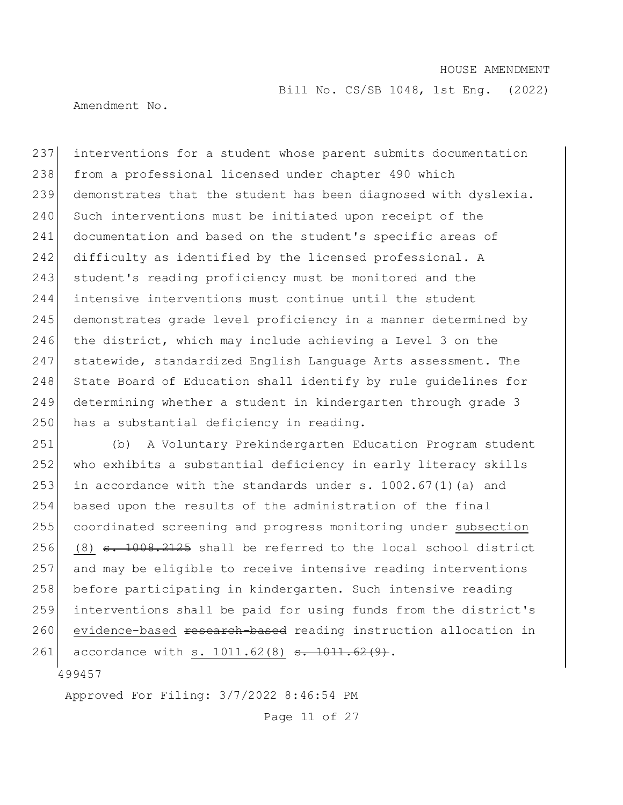Bill No. CS/SB 1048, 1st Eng. (2022)

Amendment No.

 interventions for a student whose parent submits documentation from a professional licensed under chapter 490 which demonstrates that the student has been diagnosed with dyslexia. 240 Such interventions must be initiated upon receipt of the documentation and based on the student's specific areas of 242 difficulty as identified by the licensed professional. A 243 student's reading proficiency must be monitored and the intensive interventions must continue until the student demonstrates grade level proficiency in a manner determined by the district, which may include achieving a Level 3 on the statewide, standardized English Language Arts assessment. The 248 State Board of Education shall identify by rule quidelines for determining whether a student in kindergarten through grade 3 250 has a substantial deficiency in reading.

251 (b) A Voluntary Prekindergarten Education Program student 252 who exhibits a substantial deficiency in early literacy skills 253 in accordance with the standards under s.  $1002.67(1)$  (a) and 254 based upon the results of the administration of the final 255 coordinated screening and progress monitoring under subsection 256 (8)  $\epsilon$ . 1008.2125 shall be referred to the local school district 257 and may be eligible to receive intensive reading interventions 258 before participating in kindergarten. Such intensive reading 259 interventions shall be paid for using funds from the district's 260 evidence-based <del>research-based</del> reading instruction allocation in 261 accordance with s. 1011.62(8) <del>s. 1011.62(9)</del>.

499457

Approved For Filing: 3/7/2022 8:46:54 PM

Page 11 of 27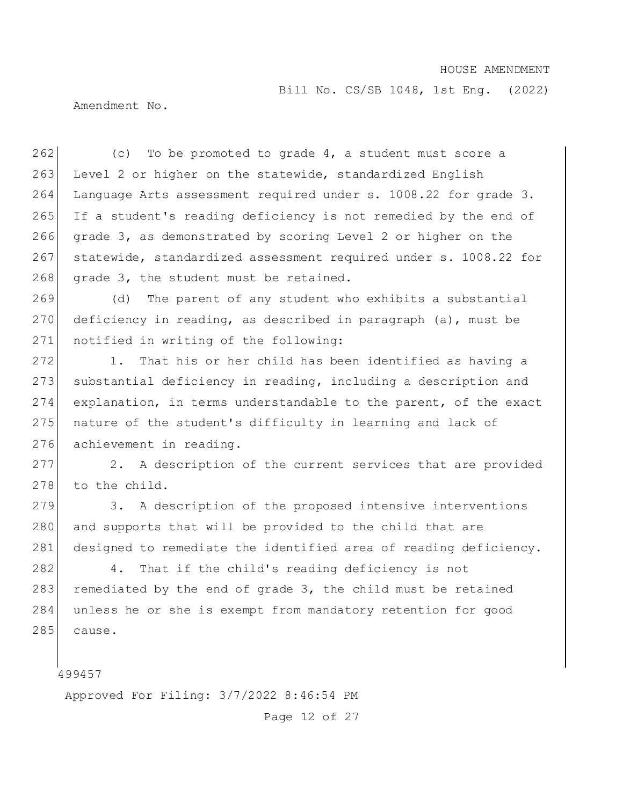Bill No. CS/SB 1048, 1st Eng. (2022)

Amendment No.

262  $\vert$  (c) To be promoted to grade 4, a student must score a 263 Level 2 or higher on the statewide, standardized English 264 Language Arts assessment required under s. 1008.22 for grade 3. 265 If a student's reading deficiency is not remedied by the end of 266 grade 3, as demonstrated by scoring Level 2 or higher on the 267 statewide, standardized assessment required under s. 1008.22 for 268 grade 3, the student must be retained.

269 (d) The parent of any student who exhibits a substantial 270 deficiency in reading, as described in paragraph (a), must be 271 notified in writing of the following:

272 1. That his or her child has been identified as having a 273 substantial deficiency in reading, including a description and  $274$  explanation, in terms understandable to the parent, of the exact 275 nature of the student's difficulty in learning and lack of 276 achievement in reading.

277 2. A description of the current services that are provided 278 to the child.

279 3. A description of the proposed intensive interventions 280 and supports that will be provided to the child that are 281 designed to remediate the identified area of reading deficiency.

282 4. That if the child's reading deficiency is not 283 remediated by the end of grade  $3$ , the child must be retained 284 unless he or she is exempt from mandatory retention for good  $285$  cause.

499457

Approved For Filing: 3/7/2022 8:46:54 PM

Page 12 of 27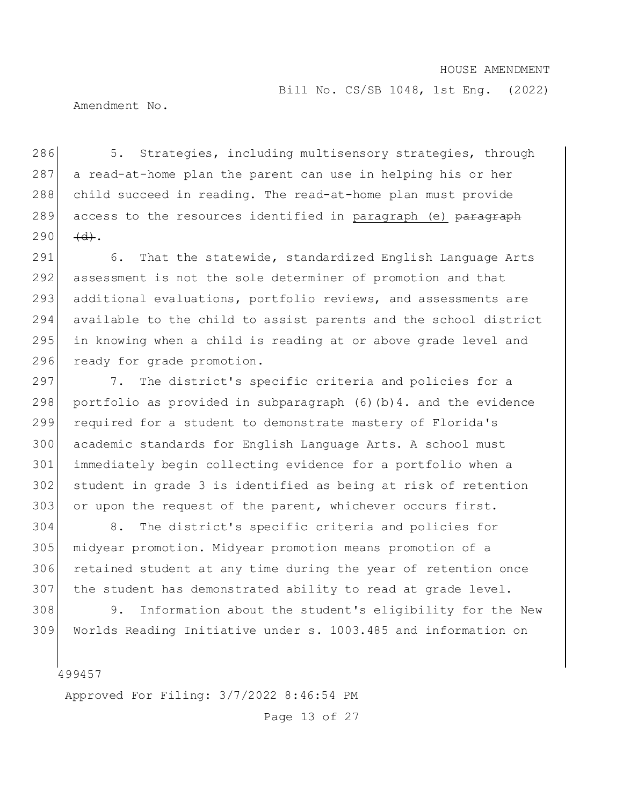Bill No. CS/SB 1048, 1st Eng. (2022)

Amendment No.

286 5. Strategies, including multisensory strategies, through 287 a read-at-home plan the parent can use in helping his or her 288 child succeed in reading. The read-at-home plan must provide 289 access to the resources identified in paragraph (e) paragraph  $290 \frac{4d}{1}$ .

291 6. That the statewide, standardized English Language Arts 292 assessment is not the sole determiner of promotion and that 293 additional evaluations, portfolio reviews, and assessments are 294 available to the child to assist parents and the school district 295 in knowing when a child is reading at or above grade level and 296 ready for grade promotion.

297 7. The district's specific criteria and policies for a portfolio as provided in subparagraph (6)(b)4. and the evidence required for a student to demonstrate mastery of Florida's academic standards for English Language Arts. A school must immediately begin collecting evidence for a portfolio when a student in grade 3 is identified as being at risk of retention 303 or upon the request of the parent, whichever occurs first.

 8. The district's specific criteria and policies for midyear promotion. Midyear promotion means promotion of a retained student at any time during the year of retention once the student has demonstrated ability to read at grade level.

308 9. Information about the student's eligibility for the New 309 Worlds Reading Initiative under s. 1003.485 and information on

499457

Approved For Filing: 3/7/2022 8:46:54 PM

Page 13 of 27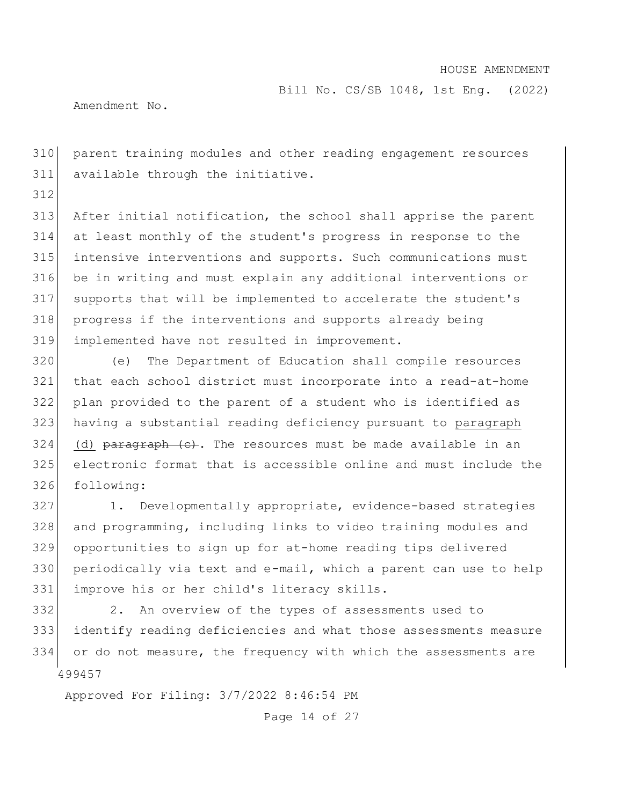Bill No. CS/SB 1048, 1st Eng. (2022)

Amendment No.

 parent training modules and other reading engagement resources available through the initiative.

 After initial notification, the school shall apprise the parent at least monthly of the student's progress in response to the intensive interventions and supports. Such communications must be in writing and must explain any additional interventions or supports that will be implemented to accelerate the student's progress if the interventions and supports already being implemented have not resulted in improvement.

 (e) The Department of Education shall compile resources that each school district must incorporate into a read-at-home plan provided to the parent of a student who is identified as having a substantial reading deficiency pursuant to paragraph (d) paragraph (c). The resources must be made available in an electronic format that is accessible online and must include the following:

 1. Developmentally appropriate, evidence-based strategies and programming, including links to video training modules and opportunities to sign up for at-home reading tips delivered periodically via text and e-mail, which a parent can use to help improve his or her child's literacy skills.

 332 2. An overview of the types of assessments used to identify reading deficiencies and what those assessments measure 334 or do not measure, the frequency with which the assessments are

Approved For Filing: 3/7/2022 8:46:54 PM

Page 14 of 27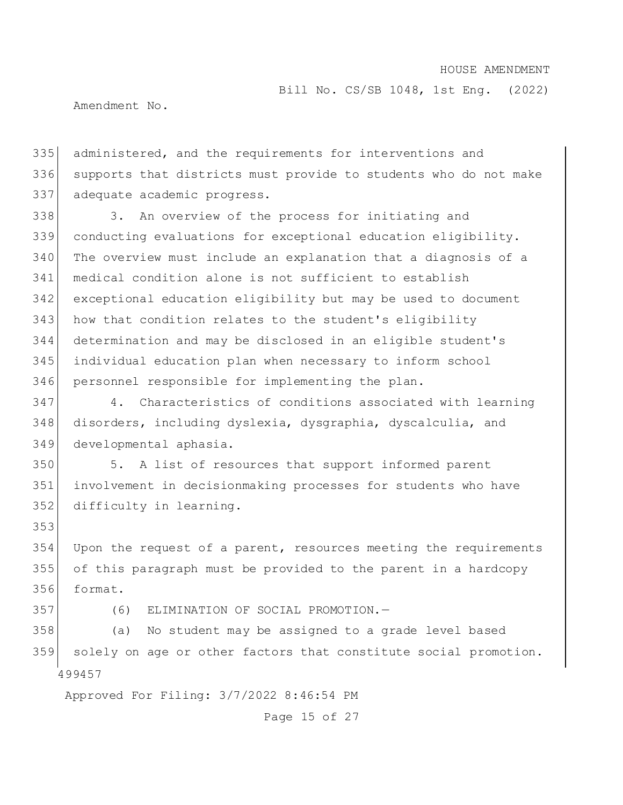Bill No. CS/SB 1048, 1st Eng. (2022)

Amendment No.

 administered, and the requirements for interventions and supports that districts must provide to students who do not make adequate academic progress.

 3. An overview of the process for initiating and conducting evaluations for exceptional education eligibility. The overview must include an explanation that a diagnosis of a medical condition alone is not sufficient to establish exceptional education eligibility but may be used to document how that condition relates to the student's eligibility determination and may be disclosed in an eligible student's individual education plan when necessary to inform school personnel responsible for implementing the plan.

 4. Characteristics of conditions associated with learning disorders, including dyslexia, dysgraphia, dyscalculia, and developmental aphasia.

 5. A list of resources that support informed parent involvement in decisionmaking processes for students who have difficulty in learning.

354 Upon the request of a parent, resources meeting the requirements of this paragraph must be provided to the parent in a hardcopy format.

(6) ELIMINATION OF SOCIAL PROMOTION.—

 (a) No student may be assigned to a grade level based solely on age or other factors that constitute social promotion.

Approved For Filing: 3/7/2022 8:46:54 PM

Page 15 of 27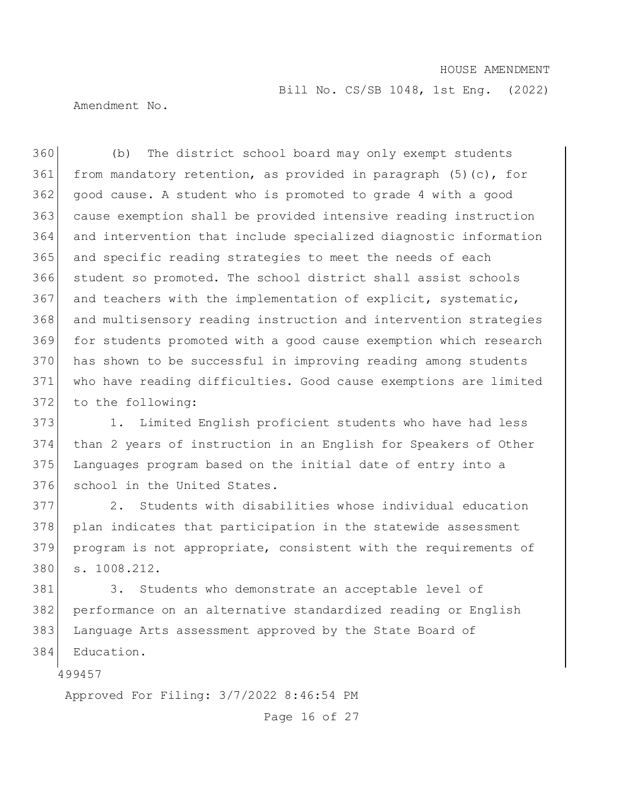Bill No. CS/SB 1048, 1st Eng. (2022)

Amendment No.

 (b) The district school board may only exempt students 361 from mandatory retention, as provided in paragraph  $(5)$  (c), for good cause. A student who is promoted to grade 4 with a good cause exemption shall be provided intensive reading instruction and intervention that include specialized diagnostic information 365 and specific reading strategies to meet the needs of each student so promoted. The school district shall assist schools and teachers with the implementation of explicit, systematic, and multisensory reading instruction and intervention strategies for students promoted with a good cause exemption which research has shown to be successful in improving reading among students 371 who have reading difficulties. Good cause exemptions are limited 372 to the following:

 1. Limited English proficient students who have had less than 2 years of instruction in an English for Speakers of Other Languages program based on the initial date of entry into a 376 school in the United States.

 2. Students with disabilities whose individual education plan indicates that participation in the statewide assessment program is not appropriate, consistent with the requirements of s. 1008.212.

381 3. Students who demonstrate an acceptable level of performance on an alternative standardized reading or English Language Arts assessment approved by the State Board of Education.

Approved For Filing: 3/7/2022 8:46:54 PM

Page 16 of 27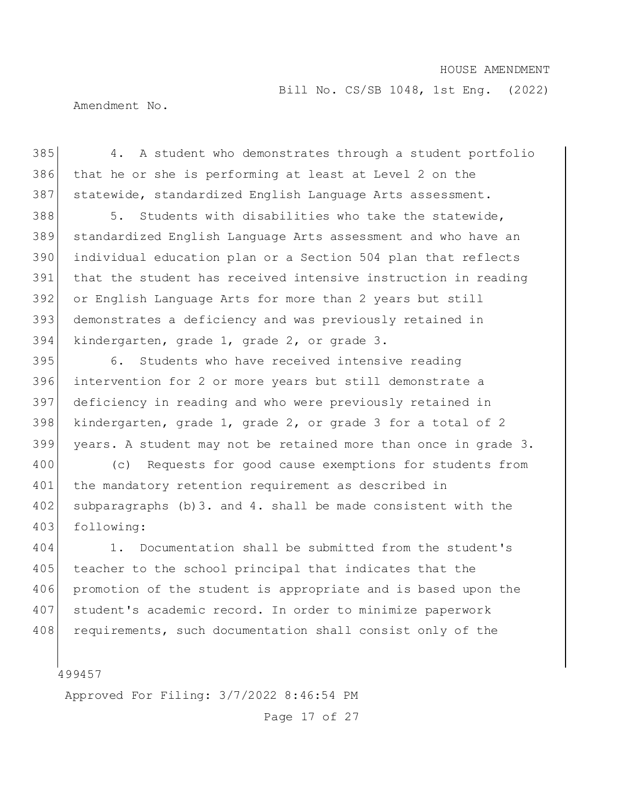Bill No. CS/SB 1048, 1st Eng. (2022)

Amendment No.

 4. A student who demonstrates through a student portfolio that he or she is performing at least at Level 2 on the 387 statewide, standardized English Language Arts assessment.

 5. Students with disabilities who take the statewide, standardized English Language Arts assessment and who have an individual education plan or a Section 504 plan that reflects that the student has received intensive instruction in reading or English Language Arts for more than 2 years but still demonstrates a deficiency and was previously retained in kindergarten, grade 1, grade 2, or grade 3.

 6. Students who have received intensive reading intervention for 2 or more years but still demonstrate a deficiency in reading and who were previously retained in kindergarten, grade 1, grade 2, or grade 3 for a total of 2 years. A student may not be retained more than once in grade 3.

400 (c) Requests for good cause exemptions for students from 401 the mandatory retention requirement as described in subparagraphs (b)3. and 4. shall be made consistent with the 403 following:

 1. Documentation shall be submitted from the student's teacher to the school principal that indicates that the promotion of the student is appropriate and is based upon the student's academic record. In order to minimize paperwork 408 requirements, such documentation shall consist only of the

Approved For Filing: 3/7/2022 8:46:54 PM

Page 17 of 27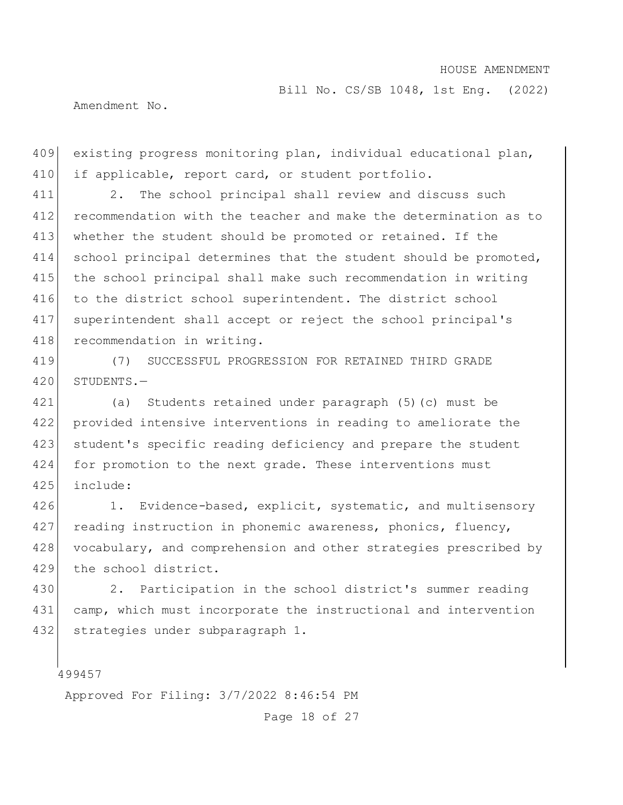Bill No. CS/SB 1048, 1st Eng. (2022)

Amendment No.

409 existing progress monitoring plan, individual educational plan, 410 if applicable, report card, or student portfolio.

 2. The school principal shall review and discuss such recommendation with the teacher and make the determination as to whether the student should be promoted or retained. If the 414 school principal determines that the student should be promoted, the school principal shall make such recommendation in writing to the district school superintendent. The district school superintendent shall accept or reject the school principal's 418 recommendation in writing.

419 (7) SUCCESSFUL PROGRESSION FOR RETAINED THIRD GRADE 420 STUDENTS.—

421 (a) Students retained under paragraph (5)(c) must be 422 provided intensive interventions in reading to ameliorate the 423 student's specific reading deficiency and prepare the student 424 for promotion to the next grade. These interventions must 425 include:

426 1. Evidence-based, explicit, systematic, and multisensory 427 reading instruction in phonemic awareness, phonics, fluency, 428 vocabulary, and comprehension and other strategies prescribed by 429 the school district.

430 2. Participation in the school district's summer reading 431 camp, which must incorporate the instructional and intervention 432 strategies under subparagraph 1.

499457

Approved For Filing: 3/7/2022 8:46:54 PM

Page 18 of 27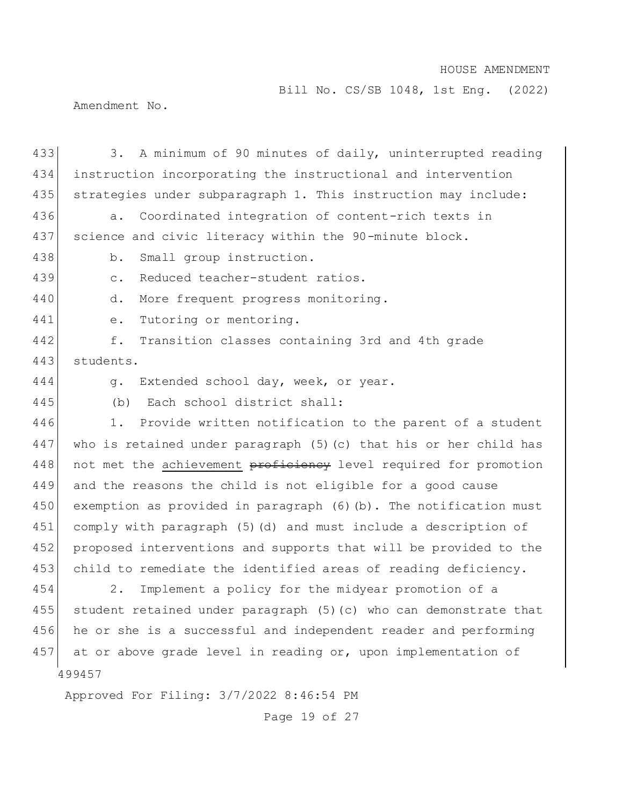Bill No. CS/SB 1048, 1st Eng. (2022)

Amendment No.

| 433 | A minimum of 90 minutes of daily, uninterrupted reading<br>3.       |
|-----|---------------------------------------------------------------------|
| 434 | instruction incorporating the instructional and intervention        |
| 435 | strategies under subparagraph 1. This instruction may include:      |
| 436 | Coordinated integration of content-rich texts in<br>$a$ .           |
| 437 | science and civic literacy within the 90-minute block.              |
| 438 | Small group instruction.<br>$b$ .                                   |
| 439 | Reduced teacher-student ratios.<br>$\mathsf{C}$ .                   |
| 440 | More frequent progress monitoring.<br>d.                            |
| 441 | Tutoring or mentoring.<br>e.                                        |
| 442 | f.<br>Transition classes containing 3rd and 4th grade               |
| 443 | students.                                                           |
| 444 | Extended school day, week, or year.<br>q.                           |
| 445 | Each school district shall:<br>(b)                                  |
| 446 | Provide written notification to the parent of a student<br>1.       |
| 447 | who is retained under paragraph $(5)$ (c) that his or her child has |
| 448 | not met the achievement proficiency level required for promotion    |
| 449 | and the reasons the child is not eligible for a good cause          |
| 450 | exemption as provided in paragraph (6) (b). The notification must   |
| 451 | comply with paragraph (5) (d) and must include a description of     |
| 452 | proposed interventions and supports that will be provided to the    |
| 453 | child to remediate the identified areas of reading deficiency.      |
| 454 | 2.<br>Implement a policy for the midyear promotion of a             |
| 455 | student retained under paragraph (5)(c) who can demonstrate that    |
| 456 | he or she is a successful and independent reader and performing     |
| 457 | at or above grade level in reading or, upon implementation of       |
|     | 499457                                                              |
|     | Approved For Filing: 3/7/2022 8:46:54 PM                            |

Page 19 of 27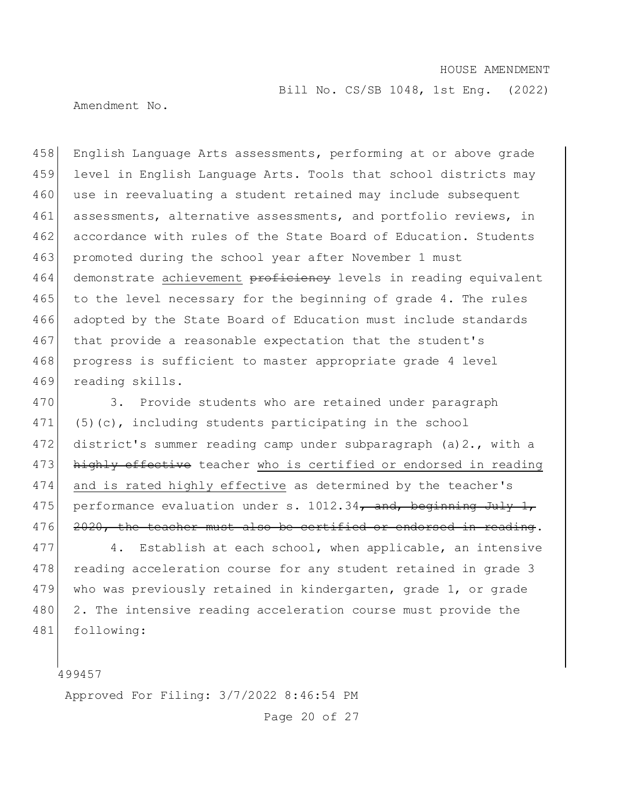Bill No. CS/SB 1048, 1st Eng. (2022)

Amendment No.

458 English Language Arts assessments, performing at or above grade 459 level in English Language Arts. Tools that school districts may 460 use in reevaluating a student retained may include subsequent 461 assessments, alternative assessments, and portfolio reviews, in 462 accordance with rules of the State Board of Education. Students 463 promoted during the school year after November 1 must 464 demonstrate achievement proficiency levels in reading equivalent 465 to the level necessary for the beginning of grade 4. The rules 466 adopted by the State Board of Education must include standards 467 that provide a reasonable expectation that the student's 468 progress is sufficient to master appropriate grade 4 level 469 reading skills.

470 3. Provide students who are retained under paragraph 471 (5)(c), including students participating in the school 472 district's summer reading camp under subparagraph (a)2., with a 473 highly effective teacher who is certified or endorsed in reading 474 and is rated highly effective as determined by the teacher's 475 performance evaluation under s.  $1012.34$ , and, beginning July 1, 476 2020, the teacher must also be certified or endorsed in reading.

477 4. Establish at each school, when applicable, an intensive 478 reading acceleration course for any student retained in grade 3 479 who was previously retained in kindergarten, grade 1, or grade 480 2. The intensive reading acceleration course must provide the 481 following:

499457

Approved For Filing: 3/7/2022 8:46:54 PM

Page 20 of 27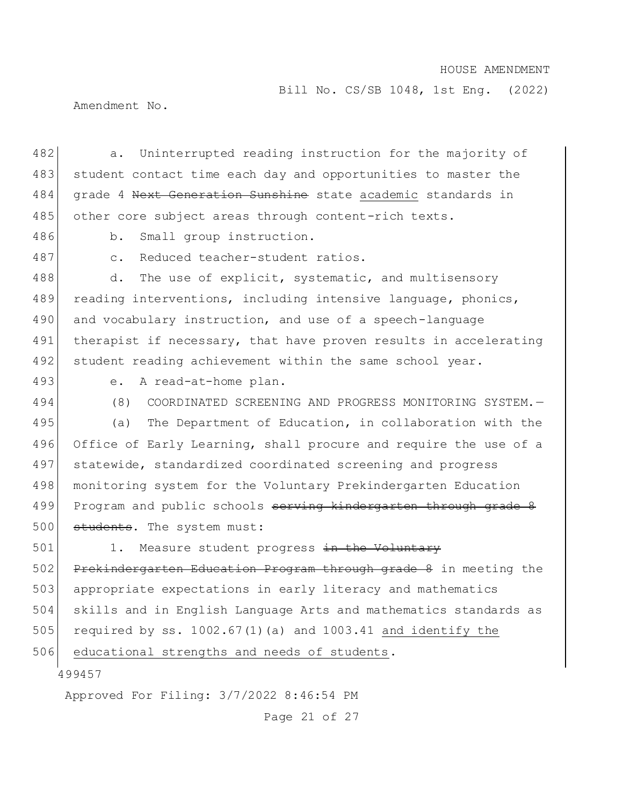Bill No. CS/SB 1048, 1st Eng. (2022)

Amendment No.

482 a. Uninterrupted reading instruction for the majority of 483 student contact time each day and opportunities to master the 484 grade 4 Next Generation Sunshine state academic standards in 485 other core subject areas through content-rich texts.

486 b. Small group instruction.

487 c. Reduced teacher-student ratios.

488 d. The use of explicit, systematic, and multisensory 489 reading interventions, including intensive language, phonics, 490 and vocabulary instruction, and use of a speech-language 491 therapist if necessary, that have proven results in accelerating 492 student reading achievement within the same school year.

493 e. A read-at-home plan.

494 (8) COORDINATED SCREENING AND PROGRESS MONITORING SYSTEM.— 495 (a) The Department of Education, in collaboration with the 496 Office of Early Learning, shall procure and require the use of a 497 statewide, standardized coordinated screening and progress 498 | monitoring system for the Voluntary Prekindergarten Education 499 Program and public schools serving kindergarten through grade 8 500 students. The system must:

501 1. Measure student progress in the Voluntary 502 Prekindergarten Education Program through grade 8 in meeting the 503 appropriate expectations in early literacy and mathematics 504 skills and in English Language Arts and mathematics standards as 505 required by ss.  $1002.67(1)$  (a) and  $1003.41$  and identify the

506 educational strengths and needs of students.

499457

Approved For Filing: 3/7/2022 8:46:54 PM

Page 21 of 27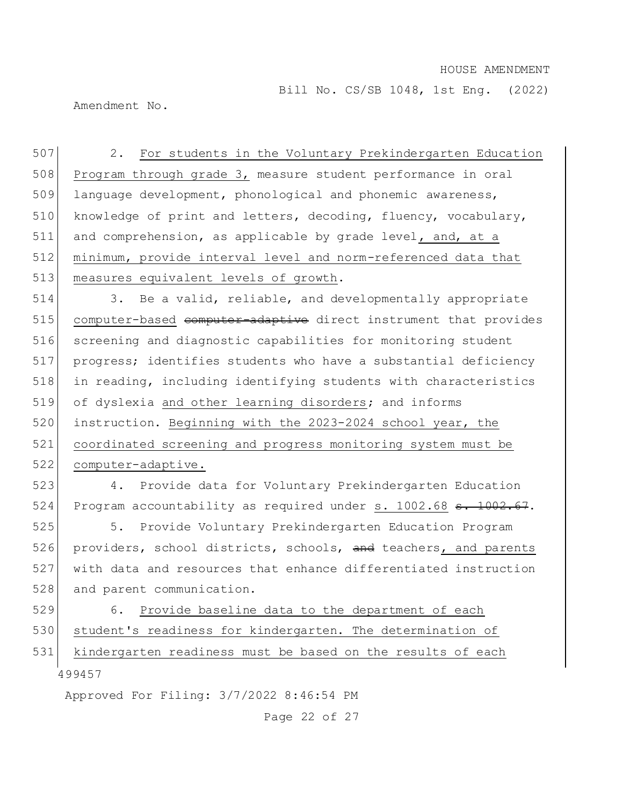Bill No. CS/SB 1048, 1st Eng. (2022)

Amendment No.

507 2. For students in the Voluntary Prekindergarten Education 508 Program through grade 3, measure student performance in oral 509 language development, phonological and phonemic awareness, 510 knowledge of print and letters, decoding, fluency, vocabulary, 511 and comprehension, as applicable by grade level, and, at a 512 minimum, provide interval level and norm-referenced data that 513 measures equivalent levels of growth.

514 3. Be a valid, reliable, and developmentally appropriate 515 computer-based computer-adaptive direct instrument that provides 516 screening and diagnostic capabilities for monitoring student 517 progress; identifies students who have a substantial deficiency 518 in reading, including identifying students with characteristics 519 of dyslexia and other learning disorders; and informs 520 instruction. Beginning with the 2023-2024 school year, the 521 coordinated screening and progress monitoring system must be 522 computer-adaptive.

523 4. Provide data for Voluntary Prekindergarten Education 524 Program accountability as required under s. 1002.68 <del>s. 1002.67</del>.

525 5. Provide Voluntary Prekindergarten Education Program 526 providers, school districts, schools, and teachers, and parents 527 with data and resources that enhance differentiated instruction 528 and parent communication.

499457 529 6. Provide baseline data to the department of each 530 student's readiness for kindergarten. The determination of 531 kindergarten readiness must be based on the results of each

Approved For Filing: 3/7/2022 8:46:54 PM

Page 22 of 27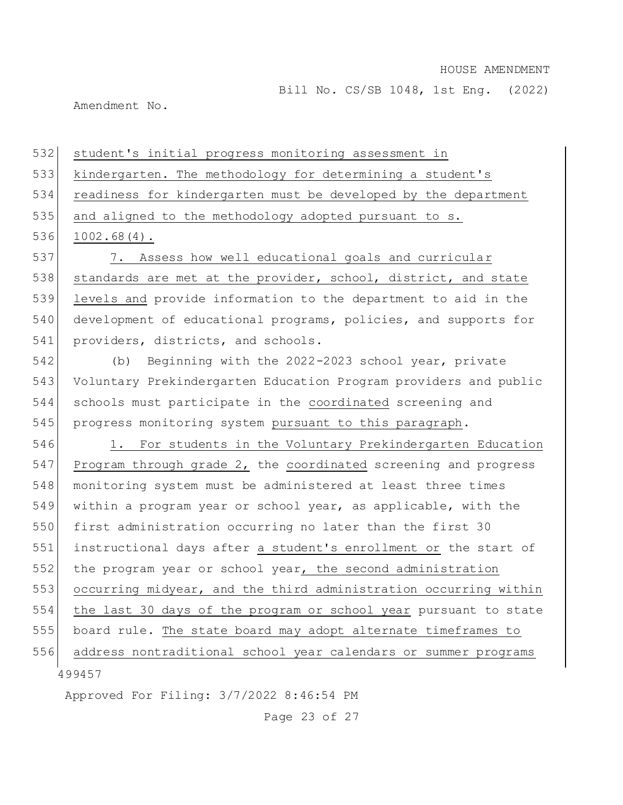Bill No. CS/SB 1048, 1st Eng. (2022)

Amendment No.

532 student's initial progress monitoring assessment in

533 kindergarten. The methodology for determining a student's

534 readiness for kindergarten must be developed by the department

535 and aligned to the methodology adopted pursuant to s.

536 1002.68(4).

537 7. Assess how well educational goals and curricular 538 standards are met at the provider, school, district, and state 539 levels and provide information to the department to aid in the 540 development of educational programs, policies, and supports for 541 providers, districts, and schools.

 (b) Beginning with the 2022-2023 school year, private Voluntary Prekindergarten Education Program providers and public schools must participate in the coordinated screening and progress monitoring system pursuant to this paragraph.

499457 546 1. For students in the Voluntary Prekindergarten Education 547 Program through grade 2, the coordinated screening and progress 548 monitoring system must be administered at least three times 549 within a program year or school year, as applicable, with the 550 first administration occurring no later than the first 30 551 instructional days after a student's enrollment or the start of 552 the program year or school year, the second administration 553 occurring midyear, and the third administration occurring within 554 the last 30 days of the program or school year pursuant to state 555 board rule. The state board may adopt alternate timeframes to 556 address nontraditional school year calendars or summer programs

Approved For Filing: 3/7/2022 8:46:54 PM

Page 23 of 27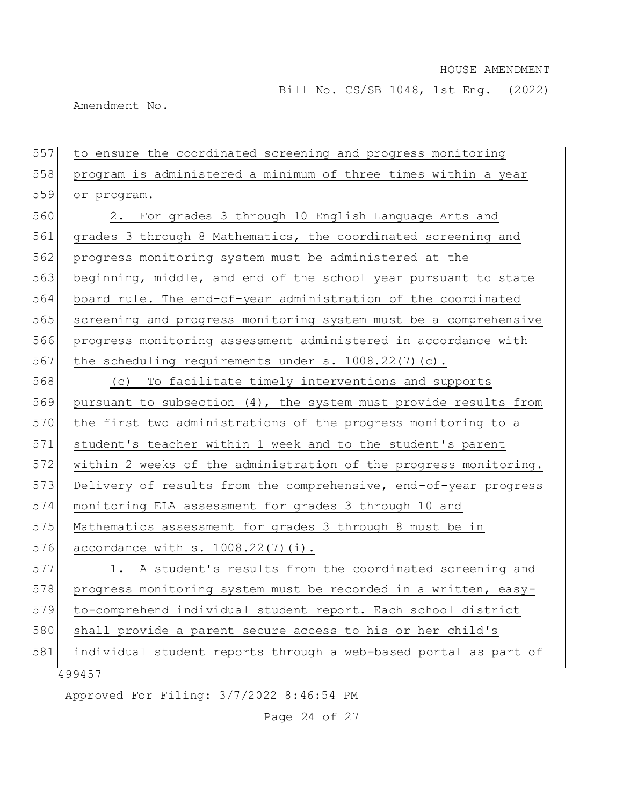Bill No. CS/SB 1048, 1st Eng. (2022)

Amendment No.

499457 Approved For Filing: 3/7/2022 8:46:54 PM 557 to ensure the coordinated screening and progress monitoring 558 program is administered a minimum of three times within a year 559 or program. 560 2. For grades 3 through 10 English Language Arts and 561 grades 3 through 8 Mathematics, the coordinated screening and 562 progress monitoring system must be administered at the 563 beginning, middle, and end of the school year pursuant to state 564 board rule. The end-of-year administration of the coordinated 565 screening and progress monitoring system must be a comprehensive 566 progress monitoring assessment administered in accordance with 567 the scheduling requirements under s.  $1008.22(7)(c)$ . 568 (c) To facilitate timely interventions and supports 569 pursuant to subsection (4), the system must provide results from 570 the first two administrations of the progress monitoring to a 571 student's teacher within 1 week and to the student's parent 572 within 2 weeks of the administration of the progress monitoring. 573 Delivery of results from the comprehensive, end-of-year progress 574 monitoring ELA assessment for grades 3 through 10 and 575 Mathematics assessment for grades 3 through 8 must be in 576 accordance with s. 1008.22(7)(i). 577 1. A student's results from the coordinated screening and 578 progress monitoring system must be recorded in a written, easy-579 to-comprehend individual student report. Each school district 580 shall provide a parent secure access to his or her child's 581 individual student reports through a web-based portal as part of

Page 24 of 27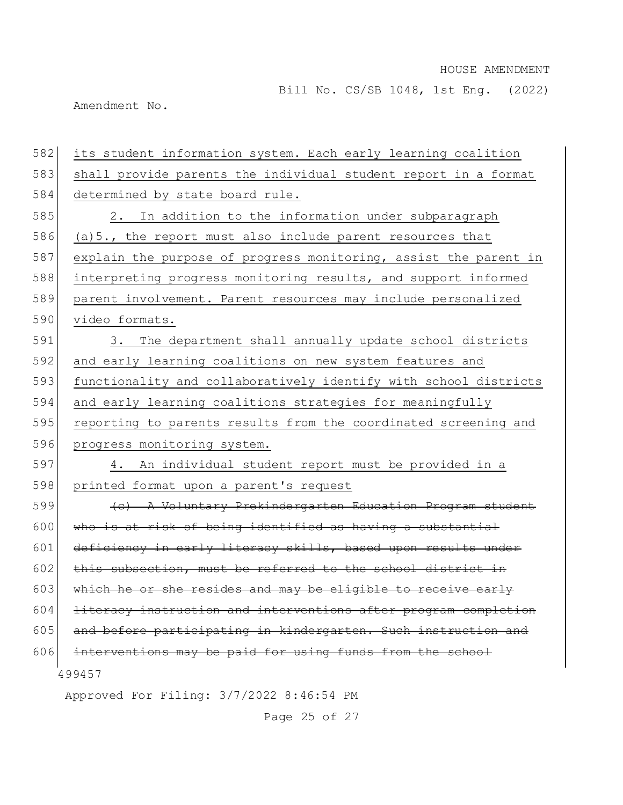Bill No. CS/SB 1048, 1st Eng. (2022)

Amendment No.

| 582 | its student information system. Each early learning coalition      |
|-----|--------------------------------------------------------------------|
| 583 | shall provide parents the individual student report in a format    |
| 584 | determined by state board rule.                                    |
| 585 | In addition to the information under subparagraph<br>2.            |
| 586 | (a) 5., the report must also include parent resources that         |
| 587 | explain the purpose of progress monitoring, assist the parent in   |
| 588 | interpreting progress monitoring results, and support informed     |
| 589 | parent involvement. Parent resources may include personalized      |
| 590 | video formats.                                                     |
| 591 | The department shall annually update school districts<br>$3 \cdot$ |
| 592 | and early learning coalitions on new system features and           |
| 593 | functionality and collaboratively identify with school districts   |
| 594 | and early learning coalitions strategies for meaningfully          |
| 595 | reporting to parents results from the coordinated screening and    |
| 596 | progress monitoring system.                                        |
| 597 | 4. An individual student report must be provided in a              |
| 598 | printed format upon a parent's request                             |
| 599 | (e) A Voluntary Prekindergarten Education Program student          |
| 600 | who is at risk of being identified as having a substantial         |
| 601 | deficiency in early literacy skills, based upon results under      |
| 602 | this subsection, must be referred to the school district in        |
| 603 | which he or she resides and may be eligible to receive early       |
| 604 | literacy instruction and interventions after program completion    |
| 605 | and before participating in kindergarten. Such instruction and     |
| 606 | interventions may be paid for using funds from the school          |
|     | 499457                                                             |
|     | Approved For Filing: 3/7/2022 8:46:54 PM                           |

Page 25 of 27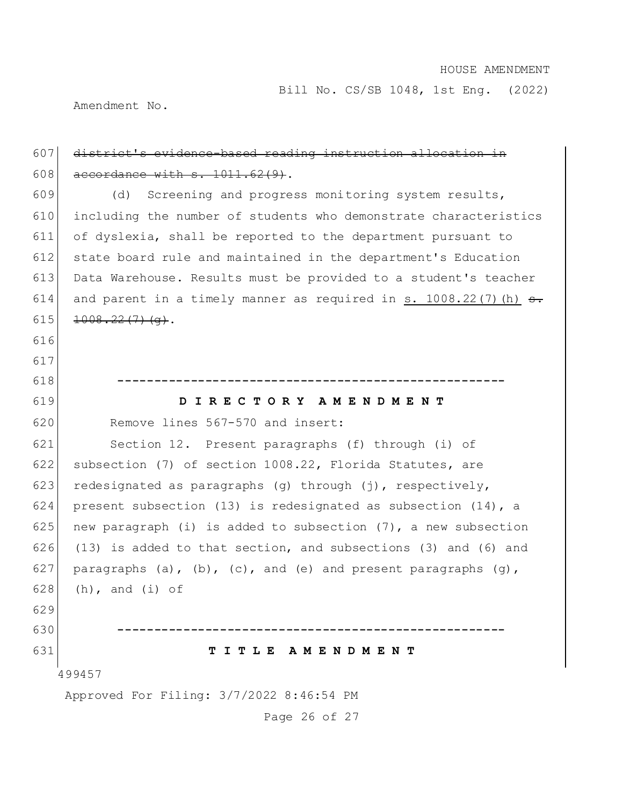Bill No. CS/SB 1048, 1st Eng. (2022)

Amendment No.

## 607 district's evidence-based reading instruction allocation in 608  $\alpha$  accordance with s. 1011.62(9).

609 (d) Screening and progress monitoring system results, including the number of students who demonstrate characteristics of dyslexia, shall be reported to the department pursuant to state board rule and maintained in the department's Education Data Warehouse. Results must be provided to a student's teacher 614 and parent in a timely manner as required in s. 1008.22(7) (h)  $\epsilon$ .  $1008.22(7)(q)$ .

616 617

618 **-----------------------------------------------------**

619 **D I R E C T O R Y A M E N D M E N T**

620 Remove lines 567-570 and insert:

621 Section 12. Present paragraphs (f) through (i) of 622 subsection (7) of section 1008.22, Florida Statutes, are 623 redesignated as paragraphs (g) through (j), respectively, 624 present subsection (13) is redesignated as subsection (14), a 625 new paragraph (i) is added to subsection  $(7)$ , a new subsection 626 (13) is added to that section, and subsections (3) and (6) and 627 paragraphs (a), (b), (c), and (e) and present paragraphs (g), 628 (h), and  $(i)$  of 629

630 **-----------------------------------------------------**

### 631 **T I T L E A M E N D M E N T**

499457

Approved For Filing: 3/7/2022 8:46:54 PM

Page 26 of 27